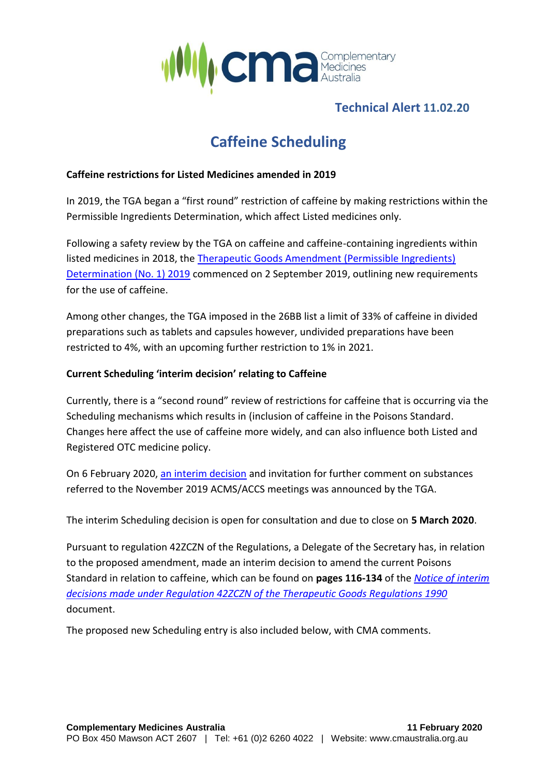

## **Technical Alert 11.02.20**

# **Caffeine Scheduling**

#### **Caffeine restrictions for Listed Medicines amended in 2019**

In 2019, the TGA began a "first round" restriction of caffeine by making restrictions within the Permissible Ingredients Determination, which affect Listed medicines only.

Following a safety review by the TGA on caffeine and caffeine-containing ingredients within listed medicines in 2018, the [Therapeutic Goods Amendment \(Permissible Ingredients\)](https://www.legislation.gov.au/Details/F2019L01113)  [Determination \(No. 1\) 2019](https://www.legislation.gov.au/Details/F2019L01113) commenced on 2 September 2019, outlining new requirements for the use of caffeine.

Among other changes, the TGA imposed in the 26BB list a limit of 33% of caffeine in divided preparations such as tablets and capsules however, undivided preparations have been restricted to 4%, with an upcoming further restriction to 1% in 2021.

### **Current Scheduling 'interim decision' relating to Caffeine**

Currently, there is a "second round" review of restrictions for caffeine that is occurring via the Scheduling mechanisms which results in (inclusion of caffeine in the Poisons Standard. Changes here affect the use of caffeine more widely, and can also influence both Listed and Registered OTC medicine policy.

On 6 February 2020, [an interim decision](https://www.tga.gov.au/scheduling-decision-interim/interim-decisions-and-invitation-further-comment-substances-referred-november-2019-acmsaccs-meetings) and invitation for further comment on substances referred to the November 2019 ACMS/ACCS meetings was announced by the TGA.

The interim Scheduling decision is open for consultation and due to close on **5 March 2020**.

Pursuant to regulation 42ZCZN of the Regulations, a Delegate of the Secretary has, in relation to the proposed amendment, made an interim decision to amend the current Poisons Standard in relation to caffeine, which can be found on **pages 116-134** of the *[Notice of interim](https://www.tga.gov.au/sites/default/files/interim-decisions-and-invitation-further-comment-substances-referred-november-2019-acmsaccs-meetings.pdf)  [decisions made under Regulation 42ZCZN of the Therapeutic Goods Regulations 1990](https://www.tga.gov.au/sites/default/files/interim-decisions-and-invitation-further-comment-substances-referred-november-2019-acmsaccs-meetings.pdf)* document.

The proposed new Scheduling entry is also included below, with CMA comments.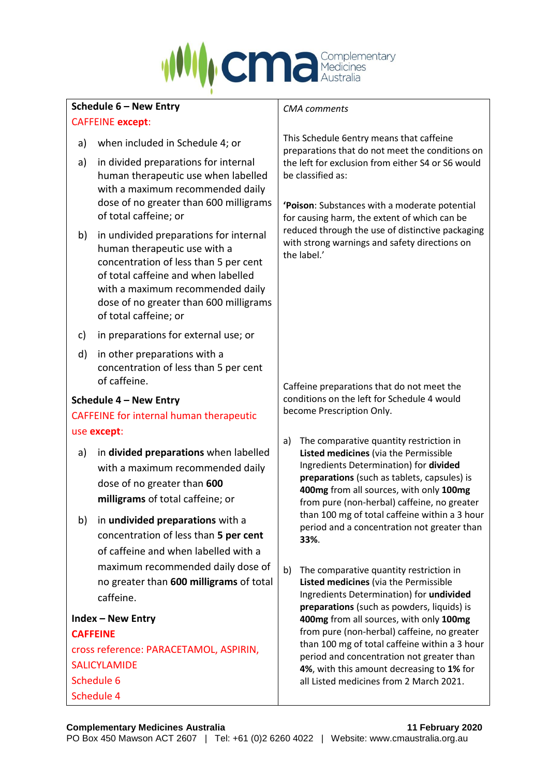

| Schedule 6 - New Entry                                        |                                                                                                                                                                                                                                                               | <b>CMA</b> comments                                                                                                                                                                                                                                                    |                                                                                                                                                                                                                                                                                                                                                                             |  |
|---------------------------------------------------------------|---------------------------------------------------------------------------------------------------------------------------------------------------------------------------------------------------------------------------------------------------------------|------------------------------------------------------------------------------------------------------------------------------------------------------------------------------------------------------------------------------------------------------------------------|-----------------------------------------------------------------------------------------------------------------------------------------------------------------------------------------------------------------------------------------------------------------------------------------------------------------------------------------------------------------------------|--|
| <b>CAFFEINE except:</b>                                       |                                                                                                                                                                                                                                                               |                                                                                                                                                                                                                                                                        |                                                                                                                                                                                                                                                                                                                                                                             |  |
| a)                                                            | when included in Schedule 4; or                                                                                                                                                                                                                               | This Schedule 6entry means that caffeine<br>preparations that do not meet the conditions on<br>the left for exclusion from either S4 or S6 would<br>be classified as:<br>'Poison: Substances with a moderate potential<br>for causing harm, the extent of which can be |                                                                                                                                                                                                                                                                                                                                                                             |  |
| a)                                                            | in divided preparations for internal<br>human therapeutic use when labelled<br>with a maximum recommended daily<br>dose of no greater than 600 milligrams<br>of total caffeine; or                                                                            |                                                                                                                                                                                                                                                                        |                                                                                                                                                                                                                                                                                                                                                                             |  |
| b)                                                            | in undivided preparations for internal<br>human therapeutic use with a<br>concentration of less than 5 per cent<br>of total caffeine and when labelled<br>with a maximum recommended daily<br>dose of no greater than 600 milligrams<br>of total caffeine; or | reduced through the use of distinctive packaging<br>with strong warnings and safety directions on<br>the label.'                                                                                                                                                       |                                                                                                                                                                                                                                                                                                                                                                             |  |
| c)                                                            | in preparations for external use; or                                                                                                                                                                                                                          |                                                                                                                                                                                                                                                                        |                                                                                                                                                                                                                                                                                                                                                                             |  |
| d)                                                            | in other preparations with a<br>concentration of less than 5 per cent<br>of caffeine.                                                                                                                                                                         |                                                                                                                                                                                                                                                                        | Caffeine preparations that do not meet the                                                                                                                                                                                                                                                                                                                                  |  |
| Schedule 4 - New Entry                                        |                                                                                                                                                                                                                                                               | conditions on the left for Schedule 4 would<br>become Prescription Only.                                                                                                                                                                                               |                                                                                                                                                                                                                                                                                                                                                                             |  |
| <b>CAFFEINE for internal human therapeutic</b>                |                                                                                                                                                                                                                                                               |                                                                                                                                                                                                                                                                        |                                                                                                                                                                                                                                                                                                                                                                             |  |
| use except:                                                   |                                                                                                                                                                                                                                                               |                                                                                                                                                                                                                                                                        |                                                                                                                                                                                                                                                                                                                                                                             |  |
| a)                                                            | in divided preparations when labelled<br>with a maximum recommended daily<br>dose of no greater than 600<br>milligrams of total caffeine; or                                                                                                                  | a)                                                                                                                                                                                                                                                                     | The comparative quantity restriction in<br>Listed medicines (via the Permissible<br>Ingredients Determination) for divided<br>preparations (such as tablets, capsules) is<br>400mg from all sources, with only 100mg<br>from pure (non-herbal) caffeine, no greater<br>than 100 mg of total caffeine within a 3 hour<br>period and a concentration not greater than<br>33%. |  |
| b)                                                            | in undivided preparations with a                                                                                                                                                                                                                              | b)                                                                                                                                                                                                                                                                     |                                                                                                                                                                                                                                                                                                                                                                             |  |
|                                                               | concentration of less than 5 per cent                                                                                                                                                                                                                         |                                                                                                                                                                                                                                                                        |                                                                                                                                                                                                                                                                                                                                                                             |  |
|                                                               | of caffeine and when labelled with a                                                                                                                                                                                                                          |                                                                                                                                                                                                                                                                        |                                                                                                                                                                                                                                                                                                                                                                             |  |
|                                                               | maximum recommended daily dose of                                                                                                                                                                                                                             |                                                                                                                                                                                                                                                                        | The comparative quantity restriction in                                                                                                                                                                                                                                                                                                                                     |  |
|                                                               | no greater than 600 milligrams of total<br>caffeine.                                                                                                                                                                                                          |                                                                                                                                                                                                                                                                        | Listed medicines (via the Permissible<br>Ingredients Determination) for undivided                                                                                                                                                                                                                                                                                           |  |
|                                                               |                                                                                                                                                                                                                                                               |                                                                                                                                                                                                                                                                        | preparations (such as powders, liquids) is                                                                                                                                                                                                                                                                                                                                  |  |
| <b>Index - New Entry</b>                                      |                                                                                                                                                                                                                                                               |                                                                                                                                                                                                                                                                        | 400mg from all sources, with only 100mg<br>from pure (non-herbal) caffeine, no greater                                                                                                                                                                                                                                                                                      |  |
| <b>CAFFEINE</b>                                               |                                                                                                                                                                                                                                                               | than 100 mg of total caffeine within a 3 hour                                                                                                                                                                                                                          |                                                                                                                                                                                                                                                                                                                                                                             |  |
| cross reference: PARACETAMOL, ASPIRIN,<br><b>SALICYLAMIDE</b> |                                                                                                                                                                                                                                                               |                                                                                                                                                                                                                                                                        | period and concentration not greater than<br>4%, with this amount decreasing to 1% for<br>all Listed medicines from 2 March 2021.                                                                                                                                                                                                                                           |  |
| Schedule 6                                                    |                                                                                                                                                                                                                                                               |                                                                                                                                                                                                                                                                        |                                                                                                                                                                                                                                                                                                                                                                             |  |
| Schedule 4                                                    |                                                                                                                                                                                                                                                               |                                                                                                                                                                                                                                                                        |                                                                                                                                                                                                                                                                                                                                                                             |  |